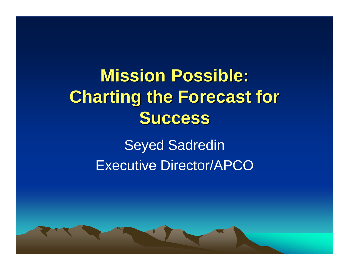# **Mission Possible: Charting the Forecast for Success**

Seyed Sadredin Executive Director/APCO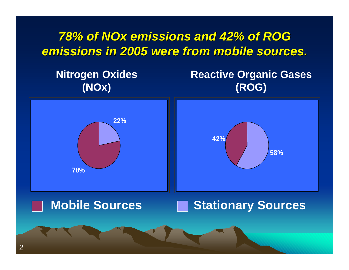#### *78% of NOx emissions and 42% of ROG emissions in 2005 were from mobile sources.*

**Nitrogen Oxides (NOx)**

**Reactive Organic Gases (ROG)**

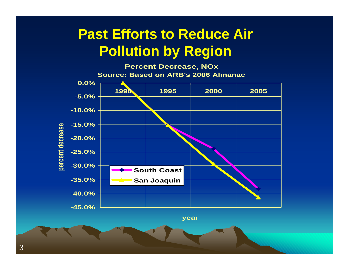#### **Past Efforts to Reduce Air Pollution by Region**

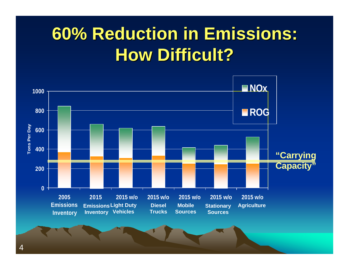## **60% Reduction in Emissions: How Difficult?**

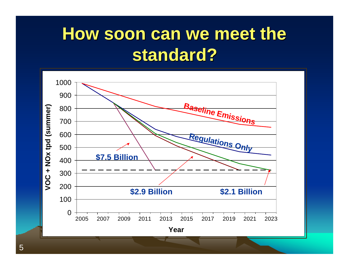## **How soon can we meet the standard?**